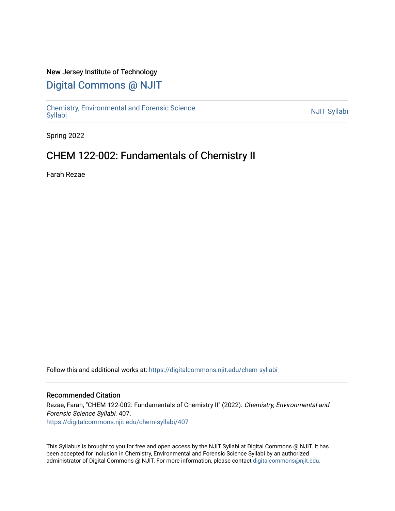## New Jersey Institute of Technology

# [Digital Commons @ NJIT](https://digitalcommons.njit.edu/)

Chemistry, Environmental and Forensic Science<br>Syllabi

Spring 2022

# CHEM 122-002: Fundamentals of Chemistry II

Farah Rezae

Follow this and additional works at: [https://digitalcommons.njit.edu/chem-syllabi](https://digitalcommons.njit.edu/chem-syllabi?utm_source=digitalcommons.njit.edu%2Fchem-syllabi%2F407&utm_medium=PDF&utm_campaign=PDFCoverPages) 

### Recommended Citation

Rezae, Farah, "CHEM 122-002: Fundamentals of Chemistry II" (2022). Chemistry, Environmental and Forensic Science Syllabi. 407. [https://digitalcommons.njit.edu/chem-syllabi/407](https://digitalcommons.njit.edu/chem-syllabi/407?utm_source=digitalcommons.njit.edu%2Fchem-syllabi%2F407&utm_medium=PDF&utm_campaign=PDFCoverPages) 

This Syllabus is brought to you for free and open access by the NJIT Syllabi at Digital Commons @ NJIT. It has been accepted for inclusion in Chemistry, Environmental and Forensic Science Syllabi by an authorized administrator of Digital Commons @ NJIT. For more information, please contact [digitalcommons@njit.edu.](mailto:digitalcommons@njit.edu)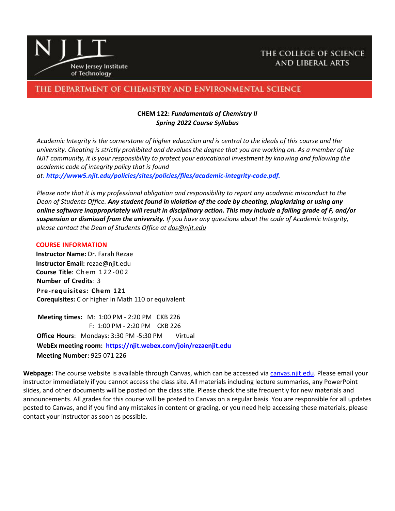

## THE COLLEGE OF SCIENCE **AND LIBERAL ARTS**

## THE DEPARTMENT OF CHEMISTRY AND ENVIRONMENTAL SCIENCE

## **CHEM 122:** *Fundamentals of Chemistry II Spring 2022 Course Syllabus*

*Academic Integrity is the cornerstone of higher education and is central to the ideals of this course and the university. Cheating is strictly prohibited and devalues the degree that you are working on. As a member of the NJIT community, it is your responsibility to protect your educational investment by knowing and following the academic code of integrity policy that is found at: [http://www5.njit.edu/policies/sites/policies/files/academic-integrity-code.pdf.](about:blank)* 

*Please note that it is my professional obligation and responsibility to report any academic misconduct to the Dean of Students Office. Any student found in violation of the code by cheating, plagiarizing or using any online software inappropriately will result in disciplinary action. This may include a failing grade of F, and/or suspension or dismissal from the university. If you have any questions about the code of Academic Integrity, please contact the Dean of Students Office at [dos@njit.edu](about:blank)*

#### **COURSE INFORMATION**

 **Instructor Name:** Dr. Farah Rezae  **Instructor Email:** rezae@njit.edu  **Course Title**: C h e m 1 2 2 -0 0 2 **Number of Credits**: 3 **Pre-requisites: Chem 121 Corequisites:** C or higher in Math 110 or equivalent

 **Meeting times:** M: 1:00 PM - 2:20 PM CKB 226 F: 1:00 PM - 2:20 PM CKB 226 **Office Hours**: Mondays: 3:30 PM -5:30 PM Virtual **WebEx meeting room: <https://njit.webex.com/join/rezaenjit.edu> Meeting Number:** 925 071 226

**Webpage:** The course website is available through Canvas, which can be accessed via [canvas.njit.edu.](about:blank) Please email your instructor immediately if you cannot access the class site. All materials including lecture summaries, any PowerPoint slides, and other documents will be posted on the class site. Please check the site frequently for new materials and announcements. All grades for this course will be posted to Canvas on a regular basis. You are responsible for all updates posted to Canvas, and if you find any mistakes in content or grading, or you need help accessing these materials, please contact your instructor as soon as possible.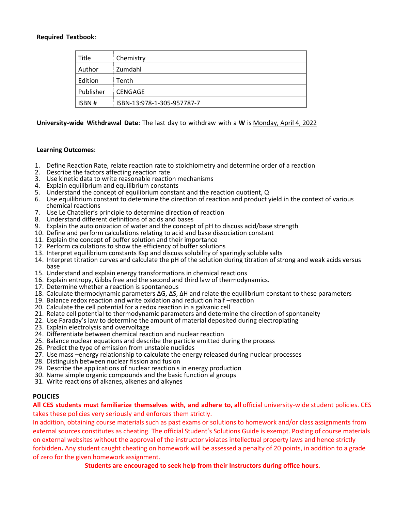#### **Required Textbook**:

| Title     | Chemistry                  |
|-----------|----------------------------|
| Author    | Zumdahl                    |
| Edition   | Tenth                      |
| Publisher | <b>CENGAGE</b>             |
| ISBN #    | ISBN-13:978-1-305-957787-7 |

**University-wide Withdrawal Date**: The last day to withdraw with a **W** is Monday, April 4, 2022

#### **Learning Outcomes**:

- 1. Define Reaction Rate, relate reaction rate to stoichiometry and determine order of a reaction
- 2. Describe the factors affecting reaction rate
- 3. Use kinetic data to write reasonable reaction mechanisms
- 4. Explain equilibrium and equilibrium constants
- 5. Understand the concept of equilibrium constant and the reaction quotient, Q
- 6. Use equilibrium constant to determine the direction of reaction and product yield in the context of various chemical reactions
- 7. Use Le Chatelier's principle to determine direction of reaction
- 8. Understand different definitions of acids and bases
- 9. Explain the autoionization of water and the concept of pH to discuss acid/base strength
- 10. Define and perform calculations relating to acid and base dissociation constant
- 11. Explain the concept of buffer solution and their importance
- 12. Perform calculations to show the efficiency of buffer solutions
- 13. Interpret equilibrium constants Ksp and discuss solubility of sparingly soluble salts
- 14. Interpret titration curves and calculate the pH of the solution during titration of strong and weak acids versus base
- 15. Understand and explain energy transformations in chemical reactions
- 16. Explain entropy, Gibbs free and the second and third law of thermodynamics.
- 17. Determine whether a reaction is spontaneous
- 18. Calculate thermodynamic parameters ΔG, ΔS, ΔH and relate the equilibrium constant to these parameters
- 19. Balance redox reaction and write oxidation and reduction half –reaction
- 20. Calculate the cell potential for a redox reaction in a galvanic cell
- 21. Relate cell potential to thermodynamic parameters and determine the direction of spontaneity
- 22. Use Faraday's law to determine the amount of material deposited during electroplating
- 23. Explain electrolysis and overvoltage
- 24. Differentiate between chemical reaction and nuclear reaction
- 25. Balance nuclear equations and describe the particle emitted during the process
- 26. Predict the type of emission from unstable nuclides
- 27. Use mass –energy relationship to calculate the energy released during nuclear processes
- 28. Distinguish between nuclear fission and fusion
- 29. Describe the applications of nuclear reaction s in energy production
- 30. Name simple organic compounds and the basic function al groups
- 31. Write reactions of alkanes, alkenes and alkynes

#### **POLICIES**

**All CES students must familiarize themselves with, and adhere to, all** official university-wide student policies. CES takes these policies very seriously and enforces them strictly.

In addition, obtaining course materials such as past exams or solutions to homework and/or class assignments from external sources constitutes as cheating. The official Student's Solutions Guide is exempt. Posting of course materials on external websites without the approval of the instructor violates intellectual property laws and hence strictly forbidden**.** Any student caught cheating on homework will be assessed a penalty of 20 points, in addition to a grade of zero for the given homework assignment.

**Students are encouraged to seek help from their Instructors during office hours.**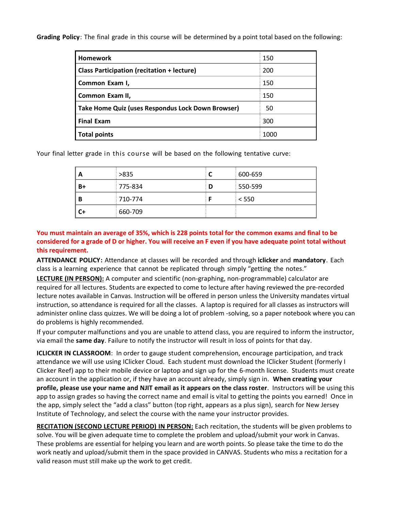**Grading Policy**: The final grade in this course will be determined by a point total based on the following:

| <b>Homework</b>                                   | 150  |
|---------------------------------------------------|------|
| <b>Class Participation (recitation + lecture)</b> | 200  |
| Common Exam I,                                    | 150  |
| Common Exam II,                                   | 150  |
| Take Home Quiz (uses Respondus Lock Down Browser) | 50   |
| <b>Final Exam</b>                                 | 300  |
| <b>Total points</b>                               | 1000 |

Your final letter grade in this course will be based on the following tentative curve:

| A  | >835    |   | 600-659 |
|----|---------|---|---------|
| B+ | 775-834 | D | 550-599 |
| В  | 710-774 |   | $<$ 550 |
| C+ | 660-709 |   |         |

**You must maintain an average of 35%, which is 228 points total for the common exams and final to be considered for a grade of D or higher. You will receive an F even if you have adequate point total without this requirement.** 

**ATTENDANCE POLICY:** Attendance at classes will be recorded and through **iclicker** and **mandatory**. Each class is a learning experience that cannot be replicated through simply "getting the notes."

**LECTURE (IN PERSON):** A computer and scientific (non-graphing, non-programmable) calculator are required for all lectures. Students are expected to come to lecture after having reviewed the pre-recorded lecture notes available in Canvas. Instruction will be offered in person unless the University mandates virtual instruction, so attendance is required for all the classes. A laptop is required for all classes as instructors will administer online class quizzes. We will be doing a lot of problem -solving, so a paper notebook where you can do problems is highly recommended.

If your computer malfunctions and you are unable to attend class, you are required to inform the instructor, via email the **same day**. Failure to notify the instructor will result in loss of points for that day.

**ICLICKER IN CLASSROOM**: In order to gauge student comprehension, encourage participation, and track attendance we will use using IClicker Cloud. Each student must download the IClicker Student (formerly I Clicker Reef) app to their mobile device or laptop and sign up for the 6-month license. Students must create an account in the application or, if they have an account already, simply sign in. **When creating your profile, please use your name and NJIT email as it appears on the class roster**. Instructors will be using this app to assign grades so having the correct name and email is vital to getting the points you earned! Once in the app, simply select the "add a class" button (top right, appears as a plus sign), search for New Jersey Institute of Technology, and select the course with the name your instructor provides.

**RECITATION (SECOND LECTURE PERIOD) IN PERSON:** Each recitation, the students will be given problems to solve. You will be given adequate time to complete the problem and upload/submit your work in Canvas. These problems are essential for helping you learn and are worth points. So please take the time to do the work neatly and upload/submit them in the space provided in CANVAS. Students who miss a recitation for a valid reason must still make up the work to get credit.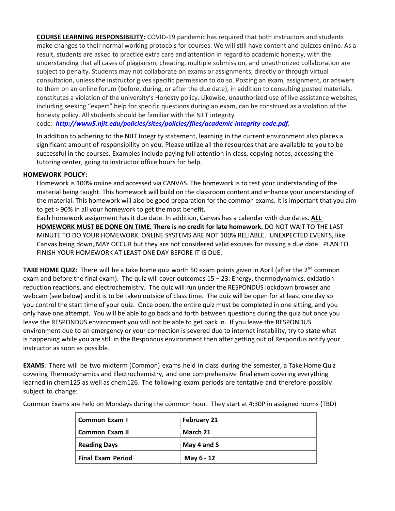**COURSE LEARNING RESPONSIBILITY:** COVID-19 pandemic has required that both instructors and students make changes to their normal working protocols for courses. We will still have content and quizzes online. As a result, students are asked to practice extra care and attention in regard to academic honesty, with the understanding that all cases of plagiarism, cheating, multiple submission, and unauthorized collaboration are subject to penalty. Students may not collaborate on exams or assignments, directly or through virtual consultation, unless the instructor gives specific permission to do so. Posting an exam, assignment, or answers to them on an online forum (before, during, or after the due date), in addition to consulting posted materials, constitutes a violation of the university's Honesty policy. Likewise, unauthorized use of live assistance websites, including seeking "expert" help for specific questions during an exam, can be construed as a violation of the honesty policy. All students should be familiar with the NJIT integrity

code: *[http://www5.njit.edu/policies/sites/policies/files/academic-integrity-code.pdf.](about:blank)* 

In addition to adhering to the NJIT Integrity statement, learning in the current environment also places a significant amount of responsibility on you. Please utilize all the resources that are available to you to be successful in the courses. Examples include paying full attention in class, copying notes, accessing the tutoring center, going to instructor office hours for help.

### **HOMEWORK POLICY:**

Homework is 100% online and accessed via CANVAS. The homework is to test your understanding of the material being taught. This homework will build on the classroom content and enhance your understanding of the material. This homework will also be good preparation for the common exams. It is important that you aim to get > 90% in all your homework to get the most benefit.

Each homework assignment has it due date. In addition, Canvas has a calendar with due dates. **ALL HOMEWORK MUST BE DONE ON TIME. There is no credit for late homework.** DO NOT WAIT TO THE LAST MINUTE TO DO YOUR HOMEWORK. ONLINE SYSTEMS ARE NOT 100% RELIABLE. UNEXPECTED EVENTS, like Canvas being down, MAY OCCUR but they are not considered valid excuses for missing a due date. PLAN TO FINISH YOUR HOMEWORK AT LEAST ONE DAY BEFORE IT IS DUE.

**TAKE HOME QUIZ:** There will be a take home quiz worth 50 exam points given in April (after the 2<sup>nd</sup> common exam and before the final exam). The quiz will cover outcomes 15 – 23: Energy, thermodynamics, oxidationreduction reactions, and electrochemistry. The quiz will run under the RESPONDUS lockdown browser and webcam (see below) and it is to be taken outside of class time. The quiz will be open for at least one day so you control the start time of your quiz. Once open, the entire quiz must be completed in one sitting, and you only have one attempt. You will be able to go back and forth between questions during the quiz but once you leave the RESPONDUS environment you will not be able to get back in. If you leave the RESPONDUS environment due to an emergency or your connection is severed due to internet instability, try to state what is happening while you are still in the Respondus environment then after getting out of Respondus notify your instructor as soon as possible.

**EXAMS**: There will be two midterm (Common) exams held in class during the semester, a Take Home Quiz covering Thermodynamics and Electrochemistry, and one comprehensive final exam covering everything learned in chem125 as well as chem126. The following exam periods are tentative and therefore possibly subject to change:

| Common Exam I            | <b>February 21</b> |
|--------------------------|--------------------|
| Common Exam II           | March 21           |
| <b>Reading Days</b>      | May 4 and 5        |
| <b>Final Exam Period</b> | May 6 - 12         |

Common Exams are held on Mondays during the common hour. They start at 4:30P in assigned rooms (TBD)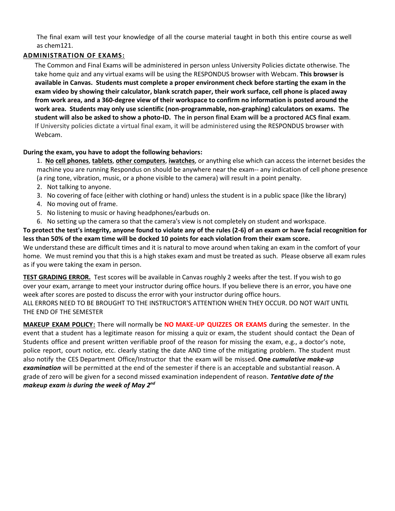The final exam will test your knowledge of all the course material taught in both this entire course as well as chem121.

## **ADMINISTRATION OF EXAMS:**

The Common and Final Exams will be administered in person unless University Policies dictate otherwise. The take home quiz and any virtual exams will be using the RESPONDUS browser with Webcam. **This browser is available in Canvas. Students must complete a proper environment check before starting the exam in the exam video by showing their calculator, blank scratch paper, their work surface, cell phone is placed away from work area, and a 360-degree view of their workspace to confirm no information is posted around the work area. Students may only use scientific (non-programmable, non-graphing) calculators on exams. The student will also be asked to show a photo-ID. The in person final Exam will be a proctored ACS final exam**. If University policies dictate a virtual final exam, it will be administered using the RESPONDUS browser with Webcam.

## **During the exam, you have to adopt the following behaviors:**

1. **No cell phones**, **tablets**, **other computers**, **iwatches**, or anything else which can access the internet besides the machine you are running Respondus on should be anywhere near the exam-- any indication of cell phone presence (a ring tone, vibration, music, or a phone visible to the camera) will result in a point penalty.

- 2. Not talking to anyone.
- 3. No covering of face (either with clothing or hand) unless the student is in a public space (like the library)
- 4. No moving out of frame.
- 5. No listening to music or having headphones/earbuds on.
- 6. No setting up the camera so that the camera's view is not completely on student and workspace.

**To protect the test's integrity, anyone found to violate any of the rules (2-6) of an exam or have facial recognition for less than 50% of the exam time will be docked 10 points for each violation from their exam score.** 

We understand these are difficult times and it is natural to move around when taking an exam in the comfort of your home. We must remind you that this is a high stakes exam and must be treated as such. Please observe all exam rules as if you were taking the exam in person.

**TEST GRADING ERROR.** Test scores will be available in Canvas roughly 2 weeks after the test. If you wish to go over your exam, arrange to meet your instructor during office hours. If you believe there is an error, you have one week after scores are posted to discuss the error with your instructor during office hours. ALL ERRORS NEED TO BE BROUGHT TO THE INSTRUCTOR'S ATTENTION WHEN THEY OCCUR. DO NOT WAIT UNTIL THE END OF THE SEMESTER

**MAKEUP EXAM POLICY:** There will normally be **NO MAKE-UP QUIZZES OR EXAMS** during the semester. In the event that a student has a legitimate reason for missing a quiz or exam, the student should contact the Dean of Students office and present written verifiable proof of the reason for missing the exam, e.g., a doctor's note, police report, court notice, etc. clearly stating the date AND time of the mitigating problem. The student must also notify the CES Department Office/Instructor that the exam will be missed. **One** *cumulative make-up examination* will be permitted at the end of the semester if there is an acceptable and substantial reason. A grade of zero will be given for a second missed examination independent of reason. *Tentative date of the makeup exam is during the week of May 2 nd*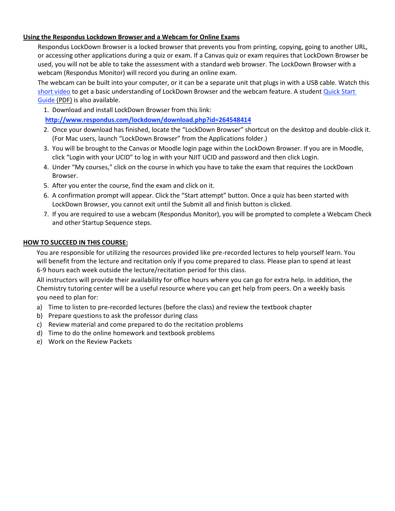## **Using the Respondus Lockdown Browser and a Webcam for Online Exams**

Respondus LockDown Browser is a locked browser that prevents you from printing, copying, going to another URL, or accessing other applications during a quiz or exam. If a Canvas quiz or exam requires that LockDown Browser be used, you will not be able to take the assessment with a standard web browser. The LockDown Browser with a webcam (Respondus Monitor) will record you during an online exam.

The webcam can be built into your computer, or it can be a separate unit that plugs in with a USB cable. Watch this [short video](about:blank) to get a basic understanding of LockDown Browser and the webcam feature. A student Quick Start [Guide \(PDF\)](about:blank) is also available.

1. Download and install LockDown Browser from this link:

**[http://www.respondus.com/lockdown/download.php?id=264548414](about:blank)**

- 2. Once your download has finished, locate the "LockDown Browser" shortcut on the desktop and double-click it. (For Mac users, launch "LockDown Browser" from the Applications folder.)
- 3. You will be brought to the Canvas or Moodle login page within the LockDown Browser. If you are in Moodle, click "Login with your UCID" to log in with your NJIT UCID and password and then click Login.
- 4. Under "My courses," click on the course in which you have to take the exam that requires the LockDown Browser.
- 5. After you enter the course, find the exam and click on it.
- 6. A confirmation prompt will appear. Click the "Start attempt" button. Once a quiz has been started with LockDown Browser, you cannot exit until the Submit all and finish button is clicked.
- 7. If you are required to use a webcam (Respondus Monitor), you will be prompted to complete a Webcam Check and other Startup Sequence steps.

## **HOW TO SUCCEED IN THIS COURSE:**

You are responsible for utilizing the resources provided like pre-recorded lectures to help yourself learn. You will benefit from the lecture and recitation only if you come prepared to class. Please plan to spend at least 6-9 hours each week outside the lecture/recitation period for this class.

All instructors will provide their availability for office hours where you can go for extra help. In addition, the Chemistry tutoring center will be a useful resource where you can get help from peers. On a weekly basis you need to plan for:

- a) Time to listen to pre-recorded lectures (before the class) and review the textbook chapter
- b) Prepare questions to ask the professor during class
- c) Review material and come prepared to do the recitation problems
- d) Time to do the online homework and textbook problems
- e) Work on the Review Packets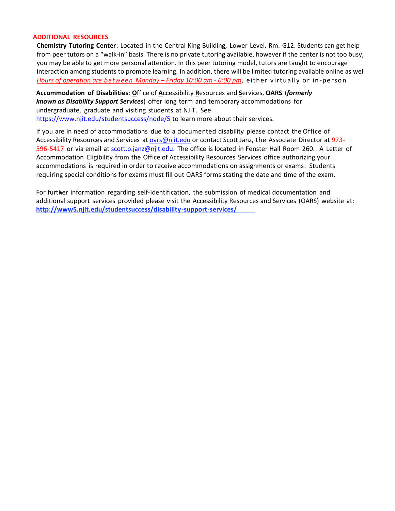#### **ADDITIONAL RESOURCES**

**Chemistry Tutoring Center**: Located in the Central King Building, Lower Level, Rm. G12. Students can get help from peer tutors on a "walk-in" basis. There is no private tutoring available, however if the center is not too busy, you may be able to get more personal attention. In this peer tutoring model, tutors are taught to encourage interaction among students to promote learning. In addition, there will be limited tutoring available online as well *Hours of operation are between Monday – Friday 10:00 am - 6:00 pm*, either virtually o r in-perso n

**Accommodation of Disabilities**: **O**ffice of **A**ccessibility **R**esources and **S**ervices, **OARS** (*formerly known as Disability Support Services*) offer long term and temporary accommodations for undergraduate, graduate and visiting students at NJIT. See [https://www.njit.edu/studentsuccess/node/5](about:blank) to learn more about their services.

If you are in need of accommodations due to a documented disability please contact the Office of Accessibility Resources and Services at [oars@njit.edu](about:blank) or contact Scott Janz, the Associate Director at 973596-5417 or via email at [scott.p.janz@njit.edu.](about:blank) The office is located in Fenster Hall Room 260. A Letter of Accommodation Eligibility from the Office of Accessibility Resources Services office authorizing your accommodations is required in order to receive accommodations on assignments or exams. Students requiring special conditions for exams must fill out OARS forms stating the date and time of the exam.

For further information regarding self-identification, the submission of medical documentation and additional support services provided please visit the Accessibility Resources and Services (OARS) website at: **[http://www5.njit.edu/studentsuccess/disability-support-services/](about:blank)**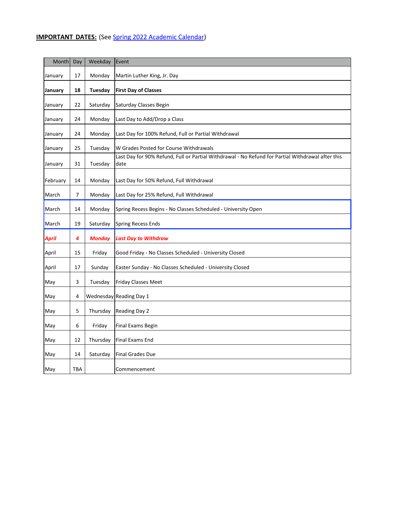## **IMPORTANT DATES:** (See [Spring 2022 Academic Calendar\)](about:blank)

| Month    | Day | Weekday        | Event                                                                                                     |
|----------|-----|----------------|-----------------------------------------------------------------------------------------------------------|
| January  | 17  | Monday         | Martin Luther King, Jr. Day                                                                               |
| January  | 18  | <b>Tuesday</b> | <b>First Day of Classes</b>                                                                               |
| January  | 22  | Saturday       | Saturday Classes Begin                                                                                    |
| January  | 24  | Monday         | Last Day to Add/Drop a Class                                                                              |
| January  | 24  | Monday         | Last Day for 100% Refund, Full or Partial Withdrawal                                                      |
| January  | 25  | Tuesday        | W Grades Posted for Course Withdrawals                                                                    |
| January  | 31  | Tuesday        | Last Day for 90% Refund, Full or Partial Withdrawal - No Refund for Partial Withdrawal after this<br>date |
| February | 14  | Monday         | Last Day for 50% Refund, Full Withdrawal                                                                  |
| March    | 7   | Monday         | Last Day for 25% Refund, Full Withdrawal                                                                  |
| March    | 14  | Monday         | Spring Recess Begins - No Classes Scheduled - University Open                                             |
| March    | 19  | Saturday       | <b>Spring Recess Ends</b>                                                                                 |
| April    | 4   | <b>Monday</b>  | <b>Last Day to Withdraw</b>                                                                               |
| April    | 15  | Friday         | Good Friday - No Classes Scheduled - University Closed                                                    |
| April    | 17  | Sunday         | Easter Sunday - No Classes Scheduled - University Closed                                                  |
| May      | 3   | Tuesday        | Friday Classes Meet                                                                                       |
| May      | 4   |                | Wednesday Reading Day 1                                                                                   |
| May      | 5   | Thursday       | Reading Day 2                                                                                             |
| May      | 6   | Friday         | <b>Final Exams Begin</b>                                                                                  |
| May      | 12  | Thursday       | <b>Final Exams End</b>                                                                                    |
| May      | 14  | Saturday       | <b>Final Grades Due</b>                                                                                   |
| May      | TBA |                | Commencement                                                                                              |